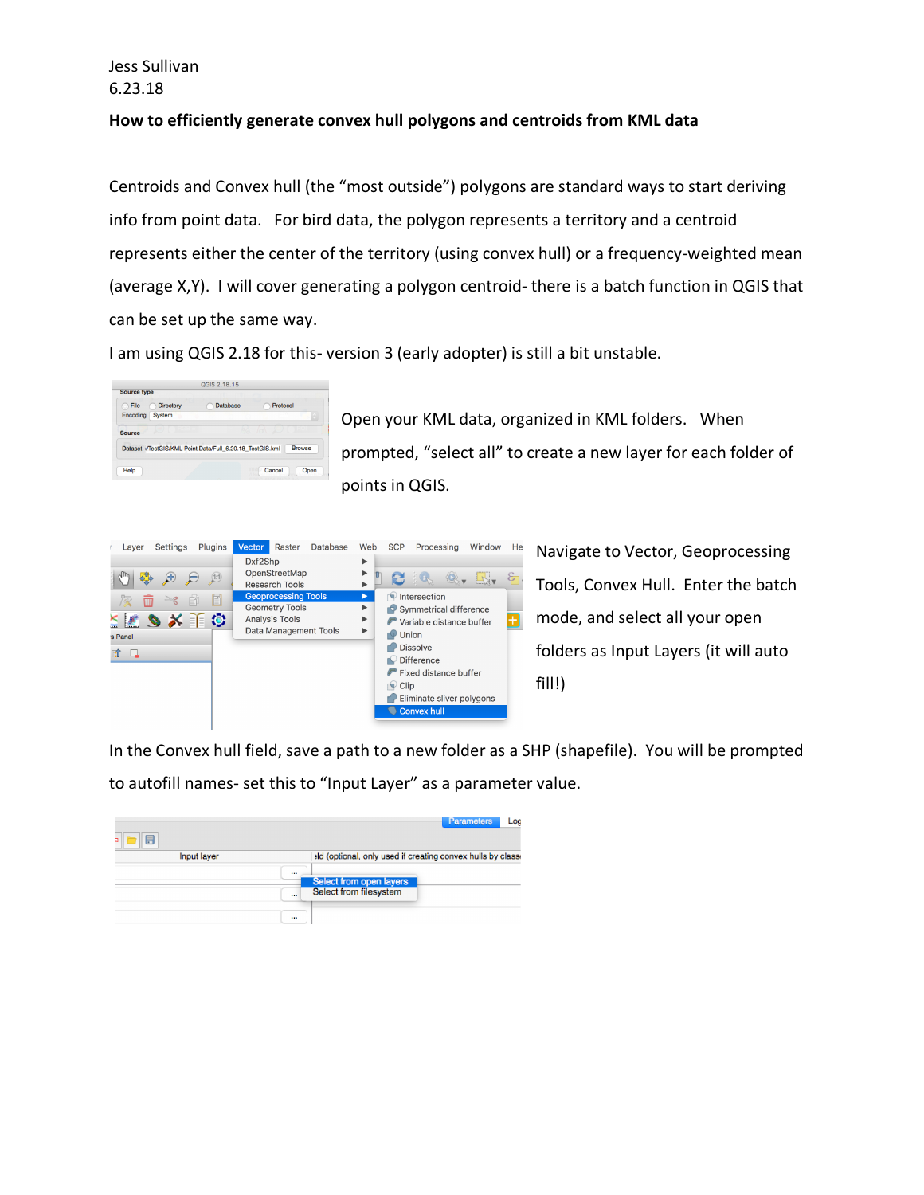## Jess Sullivan 6.23.18

## **How to efficiently generate convex hull polygons and centroids from KML data**

Centroids and Convex hull (the "most outside") polygons are standard ways to start deriving info from point data. For bird data, the polygon represents a territory and a centroid represents either the center of the territory (using convex hull) or a frequency-weighted mean (average X,Y). I will cover generating a polygon centroid- there is a batch function in QGIS that can be set up the same way.

I am using QGIS 2.18 for this- version 3 (early adopter) is still a bit unstable.

| File<br>۰ | Directory     | Database                                                 | Protocol |
|-----------|---------------|----------------------------------------------------------|----------|
| Encoding  | <b>System</b> |                                                          | r v      |
|           |               |                                                          |          |
|           |               | Dataset /TestGIS/KML Point Data/Full 6.20.18 TestGIS.kml | Browse   |
|           |               |                                                          |          |

Open your KML data, organized in KML folders. When prompted, "select all" to create a new layer for each folder of points in QGIS.



In the Convex hull field, save a path to a new folder as a SHP (shapefile). You will be prompted to autofill names- set this to "Input Layer" as a parameter value.

|             | Parameters<br>Log                                          |
|-------------|------------------------------------------------------------|
| Input layer | ald (optional, only used if creating convex hulls by class |
| $\cdots$    | Select from open layers                                    |
| $\cdots$    | Select from filesystem                                     |
| 1.11        |                                                            |